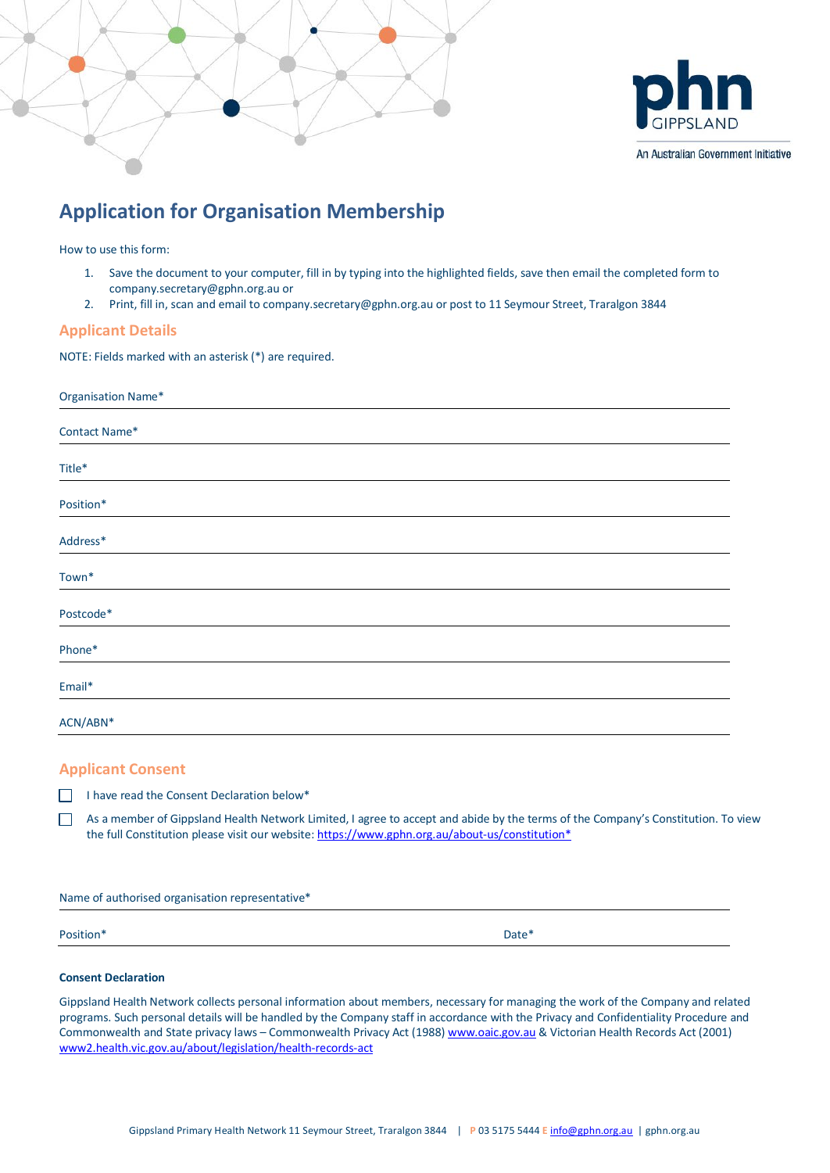



#### An Australian Government Initiative

# **Application for Organisation Membership**

How to use this form:

- 1. Save the document to your computer, fill in by typing into the highlighted fields, save then email the completed form to company.secretary@gphn.org.au or
- 2. Print, fill in, scan and email to company.secretary@gphn.org.au or post to 11 Seymour Street, Traralgon 3844

## **Applicant Details**

NOTE: Fields marked with an asterisk (\*) are required.

| Organisation Name* |               |
|--------------------|---------------|
|                    | Contact Name* |
|                    | Title*        |
|                    | Position*     |
|                    | Address*      |
|                    | Town*         |
|                    | Postcode*     |
|                    | Phone*        |
|                    | Email*        |
|                    | ACN/ABN*      |

## **Applicant Consent**

 $\Box$  I have read the Consent Declaration below\*

As a member of Gippsland Health Network Limited, I agree to accept and abide by the terms of the Company's Constitution. To view the full Constitution please visit our website: https://www.gphn.org.au/about-us/constitution\*

Name of authorised organisation representative\*

Position\* Date\*

#### **Consent Declaration**

Gippsland Health Network collects personal information about members, necessary for managing the work of the Company and related programs. Such personal details will be handled by the Company staff in accordance with the Privacy and Confidentiality Procedure and Commonwealth and State privacy laws – Commonwealth Privacy Act (1988) www.oaic.gov.au & Victorian Health Records Act (2001) www2.health.vic.gov.au/about/legislation/health-records-act